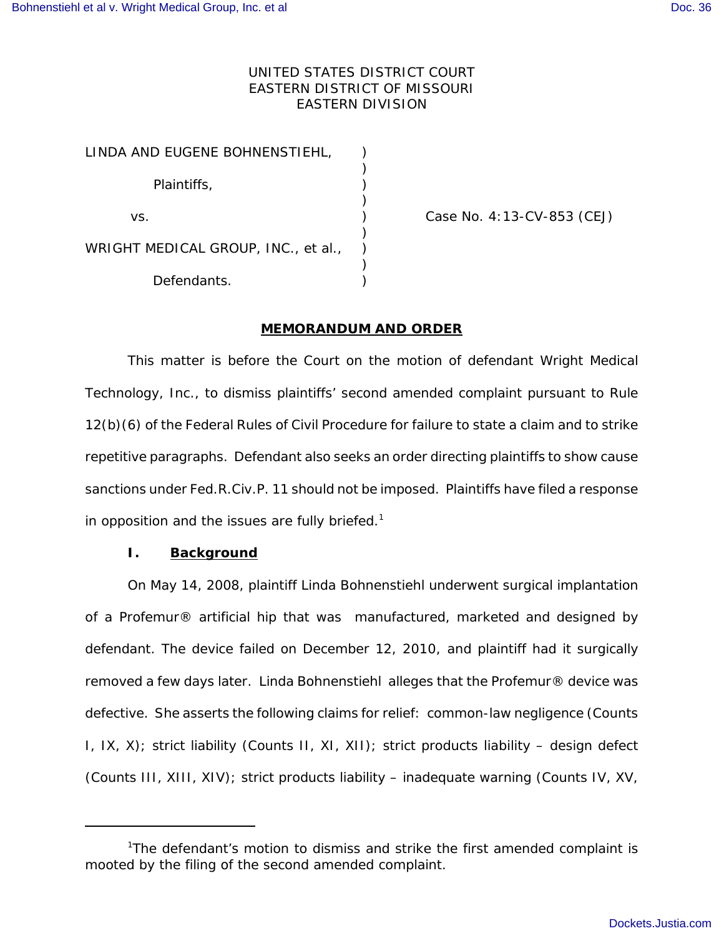# UNITED STATES DISTRICT COURT EASTERN DISTRICT OF MISSOURI EASTERN DIVISION

| LINDA AND EUGENE BOHNENSTIEHL,      |  |
|-------------------------------------|--|
| Plaintiffs,                         |  |
| VS.                                 |  |
| WRIGHT MEDICAL GROUP, INC., et al., |  |
| Defendants.                         |  |

Case No. 4:13-CV-853 (CEJ)

## **MEMORANDUM AND ORDER**

This matter is before the Court on the motion of defendant Wright Medical Technology, Inc., to dismiss plaintiffs' second amended complaint pursuant to Rule 12(b)(6) of the Federal Rules of Civil Procedure for failure to state a claim and to strike repetitive paragraphs. Defendant also seeks an order directing plaintiffs to show cause sanctions under Fed.R.Civ.P. 11 should not be imposed. Plaintiffs have filed a response in opposition and the issues are fully briefed.<sup>1</sup>

# **I. Background**

On May 14, 2008, plaintiff Linda Bohnenstiehl underwent surgical implantation of a Profemur® artificial hip that was manufactured, marketed and designed by defendant. The device failed on December 12, 2010, and plaintiff had it surgically removed a few days later. Linda Bohnenstiehl alleges that the Profemur® device was defective. She asserts the following claims for relief: common-law negligence (Counts I, IX, X); strict liability (Counts II, XI, XII); strict products liability – design defect (Counts III, XIII, XIV); strict products liability – inadequate warning (Counts IV, XV,

<sup>1</sup>The defendant's motion to dismiss and strike the first amended complaint is mooted by the filing of the second amended complaint.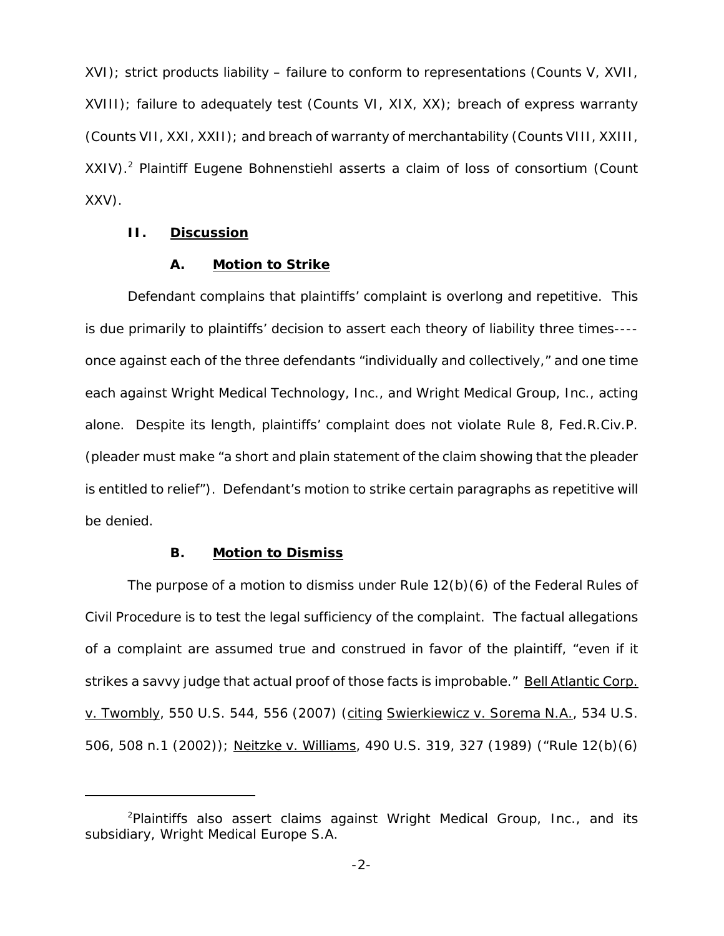XVI); strict products liability – failure to conform to representations (Counts V, XVII, XVIII); failure to adequately test (Counts VI, XIX, XX); breach of express warranty (Counts VII, XXI, XXII); and breach of warranty of merchantability (Counts VIII, XXIII,  $XXIV$ ).<sup>2</sup> Plaintiff Eugene Bohnenstiehl asserts a claim of loss of consortium (Count XXV).

## **II. Discussion**

#### **A. Motion to Strike**

Defendant complains that plaintiffs' complaint is overlong and repetitive. This is due primarily to plaintiffs' decision to assert each theory of liability three times--- once against each of the three defendants "individually and collectively," and one time each against Wright Medical Technology, Inc., and Wright Medical Group, Inc., acting alone. Despite its length, plaintiffs' complaint does not violate Rule 8, Fed.R.Civ.P. (pleader must make "a short and plain statement of the claim showing that the pleader is entitled to relief"). Defendant's motion to strike certain paragraphs as repetitive will be denied.

# **B. Motion to Dismiss**

The purpose of a motion to dismiss under Rule 12(b)(6) of the Federal Rules of Civil Procedure is to test the legal sufficiency of the complaint. The factual allegations of a complaint are assumed true and construed in favor of the plaintiff, "even if it strikes a savvy judge that actual proof of those facts is improbable." Bell Atlantic Corp. v. Twombly, 550 U.S. 544, 556 (2007) (citing Swierkiewicz v. Sorema N.A., 534 U.S. 506, 508 n.1 (2002)); Neitzke v. Williams, 490 U.S. 319, 327 (1989) ("Rule 12(b)(6)

<sup>&</sup>lt;sup>2</sup>Plaintiffs also assert claims against Wright Medical Group, Inc., and its subsidiary, Wright Medical Europe S.A.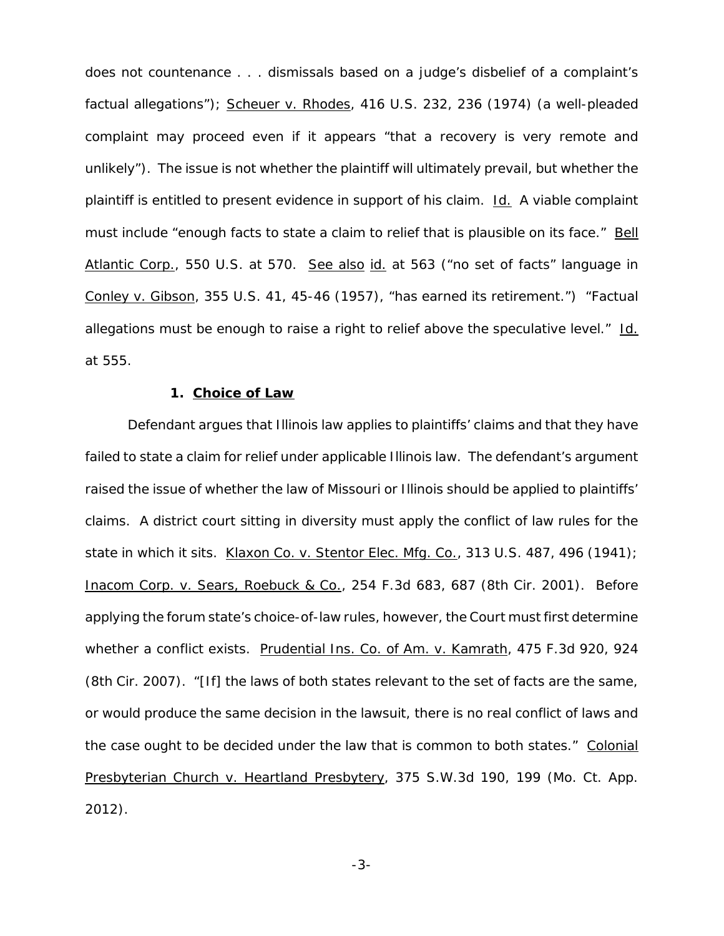does not countenance . . . dismissals based on a judge's disbelief of a complaint's factual allegations"); Scheuer v. Rhodes, 416 U.S. 232, 236 (1974) (a well-pleaded complaint may proceed even if it appears "that a recovery is very remote and unlikely"). The issue is not whether the plaintiff will ultimately prevail, but whether the plaintiff is entitled to present evidence in support of his claim. Id. A viable complaint must include "enough facts to state a claim to relief that is plausible on its face." Bell Atlantic Corp., 550 U.S. at 570. See also id. at 563 ("no set of facts" language in Conley v. Gibson, 355 U.S. 41, 45-46 (1957), "has earned its retirement.") "Factual allegations must be enough to raise a right to relief above the speculative level." Id. at 555.

#### **1. Choice of Law**

Defendant argues that Illinois law applies to plaintiffs' claims and that they have failed to state a claim for relief under applicable Illinois law. The defendant's argument raised the issue of whether the law of Missouri or Illinois should be applied to plaintiffs' claims. A district court sitting in diversity must apply the conflict of law rules for the state in which it sits. Klaxon Co. v. Stentor Elec. Mfg. Co., 313 U.S. 487, 496 (1941); Inacom Corp. v. Sears, Roebuck & Co., 254 F.3d 683, 687 (8th Cir. 2001). Before applying the forum state's choice-of-law rules, however, the Court must first determine whether a conflict exists. Prudential Ins. Co. of Am. v. Kamrath, 475 F.3d 920, 924 (8th Cir. 2007). "[If] the laws of both states relevant to the set of facts are the same, or would produce the same decision in the lawsuit, there is no real conflict of laws and the case ought to be decided under the law that is common to both states." Colonial Presbyterian Church v. Heartland Presbytery, 375 S.W.3d 190, 199 (Mo. Ct. App. 2012).

-3-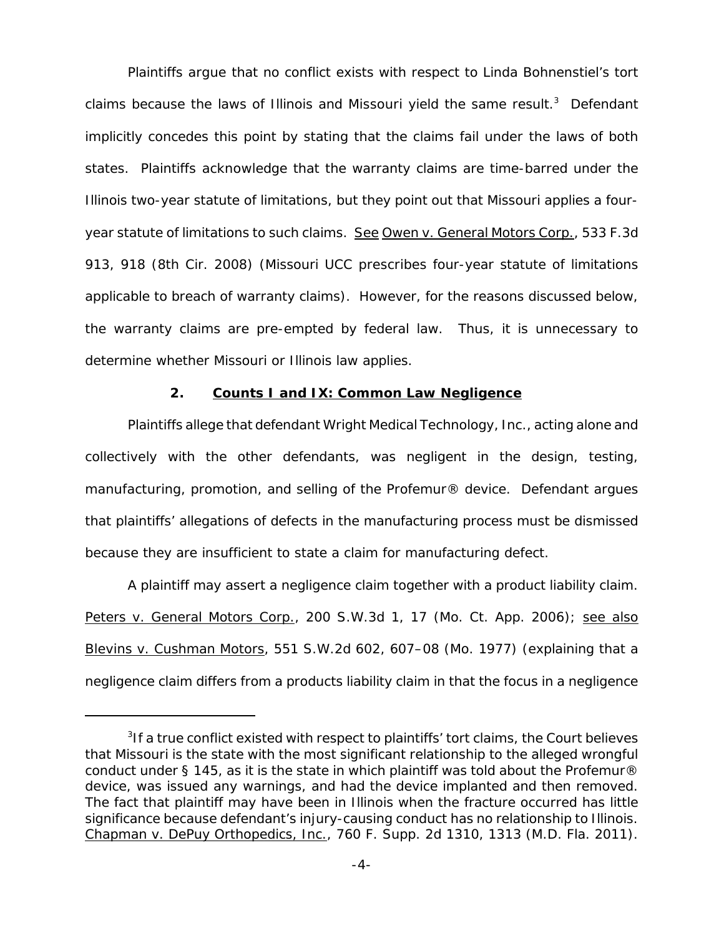Plaintiffs argue that no conflict exists with respect to Linda Bohnenstiel's tort claims because the laws of Illinois and Missouri yield the same result.<sup>3</sup> Defendant implicitly concedes this point by stating that the claims fail under the laws of both states. Plaintiffs acknowledge that the warranty claims are time-barred under the Illinois two-year statute of limitations, but they point out that Missouri applies a fouryear statute of limitations to such claims. See Owen v. General Motors Corp., 533 F.3d 913, 918 (8th Cir. 2008) (Missouri UCC prescribes four-year statute of limitations applicable to breach of warranty claims). However, for the reasons discussed below, the warranty claims are pre-empted by federal law. Thus, it is unnecessary to determine whether Missouri or Illinois law applies.

## **2. Counts I and IX: Common Law Negligence**

Plaintiffs allege that defendant Wright Medical Technology, Inc., acting alone and collectively with the other defendants, was negligent in the design, testing, manufacturing, promotion, and selling of the Profemur® device. Defendant argues that plaintiffs' allegations of defects in the manufacturing process must be dismissed because they are insufficient to state a claim for manufacturing defect.

A plaintiff may assert a negligence claim together with a product liability claim. Peters v. General Motors Corp., 200 S.W.3d 1, 17 (Mo. Ct. App. 2006); see also Blevins v. Cushman Motors, 551 S.W.2d 602, 607–08 (Mo. 1977) (explaining that a negligence claim differs from a products liability claim in that the focus in a negligence

<sup>&</sup>lt;sup>3</sup>If a true conflict existed with respect to plaintiffs' tort claims, the Court believes that Missouri is the state with the most significant relationship to the alleged wrongful conduct under § 145, as it is the state in which plaintiff was told about the Profemur® device, was issued any warnings, and had the device implanted and then removed. The fact that plaintiff may have been in Illinois when the fracture occurred has little significance because defendant's injury-causing conduct has no relationship to Illinois. Chapman v. DePuy Orthopedics, Inc., 760 F. Supp. 2d 1310, 1313 (M.D. Fla. 2011).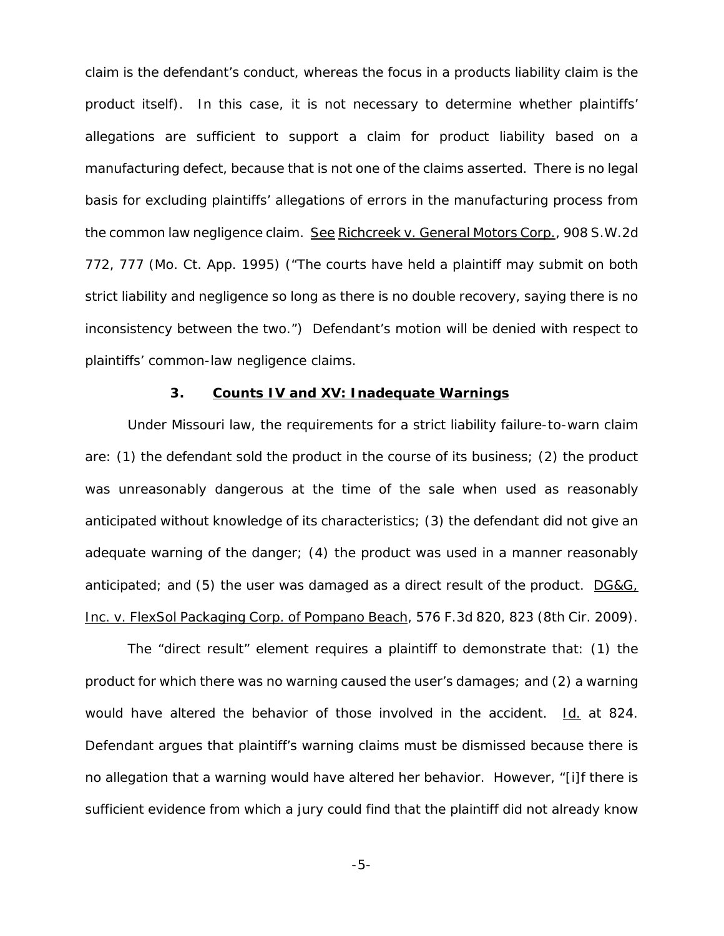claim is the defendant's conduct, whereas the focus in a products liability claim is the product itself). In this case, it is not necessary to determine whether plaintiffs' allegations are sufficient to support a claim for product liability based on a manufacturing defect, because that is not one of the claims asserted. There is no legal basis for excluding plaintiffs' allegations of errors in the manufacturing process from the common law negligence claim. See Richcreek v. General Motors Corp., 908 S.W.2d 772, 777 (Mo. Ct. App. 1995) ("The courts have held a plaintiff may submit on both strict liability and negligence so long as there is no double recovery, saying there is no inconsistency between the two.") Defendant's motion will be denied with respect to plaintiffs' common-law negligence claims.

#### **3. Counts IV and XV: Inadequate Warnings**

Under Missouri law, the requirements for a strict liability failure-to-warn claim are: (1) the defendant sold the product in the course of its business; (2) the product was unreasonably dangerous at the time of the sale when used as reasonably anticipated without knowledge of its characteristics; (3) the defendant did not give an adequate warning of the danger; (4) the product was used in a manner reasonably anticipated; and (5) the user was damaged as a direct result of the product. DG&G, Inc. v. FlexSol Packaging Corp. of Pompano Beach, 576 F.3d 820, 823 (8th Cir. 2009).

The "direct result" element requires a plaintiff to demonstrate that: (1) the product for which there was no warning caused the user's damages; and (2) a warning would have altered the behavior of those involved in the accident. Id. at 824. Defendant argues that plaintiff's warning claims must be dismissed because there is no allegation that a warning would have altered her behavior. However, "[i]f there is sufficient evidence from which a jury could find that the plaintiff did not already know

-5-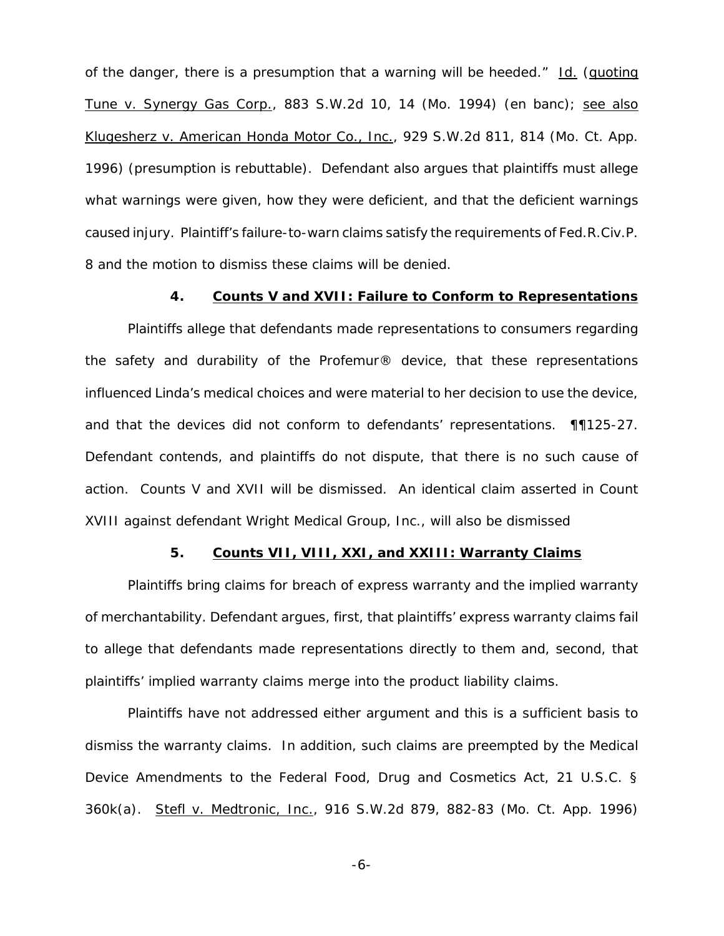of the danger, there is a presumption that a warning will be heeded." Id. (quoting Tune v. Synergy Gas Corp., 883 S.W.2d 10, 14 (Mo. 1994) (*en banc*); see also Klugesherz v. American Honda Motor Co., Inc., 929 S.W.2d 811, 814 (Mo. Ct. App. 1996) (presumption is rebuttable). Defendant also argues that plaintiffs must allege what warnings were given, how they were deficient, and that the deficient warnings caused injury. Plaintiff's failure-to-warn claims satisfy the requirements of Fed.R.Civ.P. 8 and the motion to dismiss these claims will be denied.

#### **4. Counts V and XVII: Failure to Conform to Representations**

Plaintiffs allege that defendants made representations to consumers regarding the safety and durability of the Profemur® device, that these representations influenced Linda's medical choices and were material to her decision to use the device, and that the devices did not conform to defendants' representations. ¶¶125-27. Defendant contends, and plaintiffs do not dispute, that there is no such cause of action. Counts V and XVII will be dismissed. An identical claim asserted in Count XVIII against defendant Wright Medical Group, Inc., will also be dismissed

## **5. Counts VII, VIII, XXI, and XXIII: Warranty Claims**

Plaintiffs bring claims for breach of express warranty and the implied warranty of merchantability. Defendant argues, first, that plaintiffs' express warranty claims fail to allege that defendants made representations directly to them and, second, that plaintiffs' implied warranty claims merge into the product liability claims.

Plaintiffs have not addressed either argument and this is a sufficient basis to dismiss the warranty claims. In addition, such claims are preempted by the Medical Device Amendments to the Federal Food, Drug and Cosmetics Act, 21 U.S.C. § 360k(a). Stefl v. Medtronic, Inc., 916 S.W.2d 879, 882-83 (Mo. Ct. App. 1996)

-6-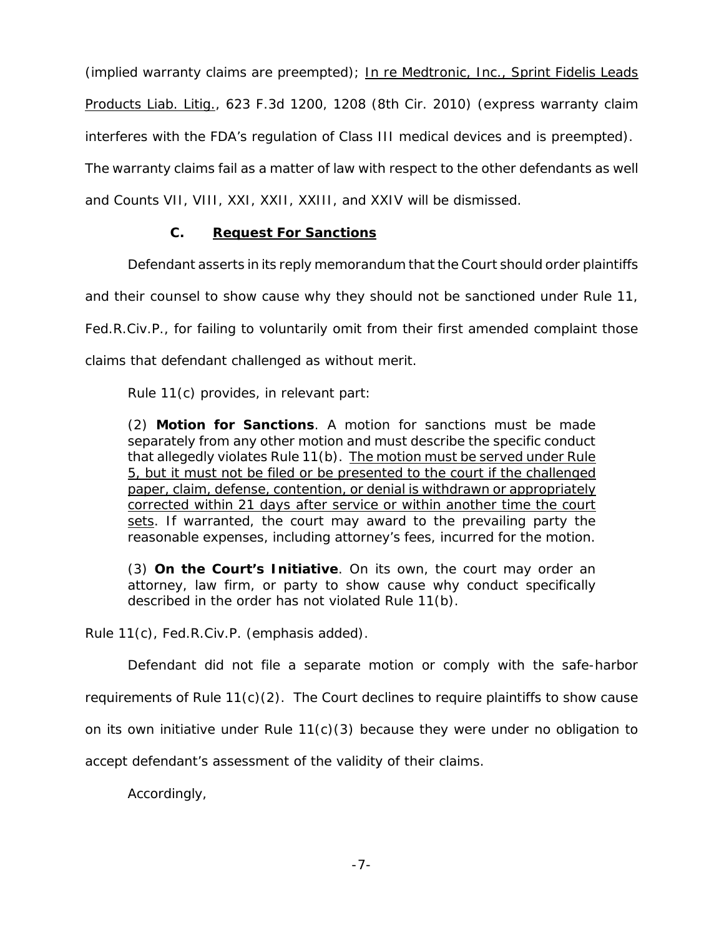(implied warranty claims are preempted); In re Medtronic, Inc., Sprint Fidelis Leads Products Liab. Litig., 623 F.3d 1200, 1208 (8th Cir. 2010) (express warranty claim interferes with the FDA's regulation of Class III medical devices and is preempted). The warranty claims fail as a matter of law with respect to the other defendants as well and Counts VII, VIII, XXI, XXII, XXIII, and XXIV will be dismissed.

# **C. Request For Sanctions**

Defendant asserts in its reply memorandum that the Court should order plaintiffs

and their counsel to show cause why they should not be sanctioned under Rule 11,

Fed.R.Civ.P., for failing to voluntarily omit from their first amended complaint those

claims that defendant challenged as without merit.

Rule 11(c) provides, in relevant part:

(2) **Motion for Sanctions**. A motion for sanctions must be made separately from any other motion and must describe the specific conduct that allegedly violates Rule 11(b). The motion must be served under Rule 5, but it must not be filed or be presented to the court if the challenged paper, claim, defense, contention, or denial is withdrawn or appropriately corrected within 21 days after service or within another time the court sets. If warranted, the court may award to the prevailing party the reasonable expenses, including attorney's fees, incurred for the motion.

(3) **On the Court's Initiative**. On its own, the court may order an attorney, law firm, or party to show cause why conduct specifically described in the order has not violated Rule 11(b).

Rule 11(c), Fed.R.Civ.P. (emphasis added).

Defendant did not file a separate motion or comply with the safe-harbor

requirements of Rule 11(c)(2). The Court declines to require plaintiffs to show cause

on its own initiative under Rule  $11(c)(3)$  because they were under no obligation to

accept defendant's assessment of the validity of their claims.

Accordingly,